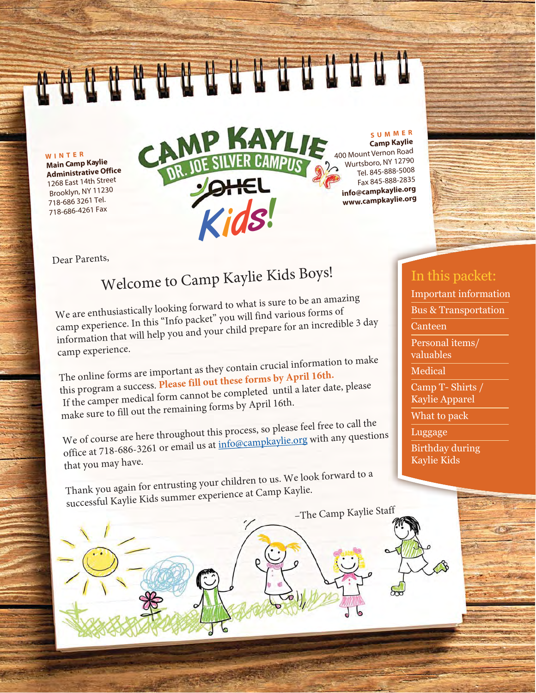**WINTER**

**Main Camp Kaylie Administrative Office** 1268 East 14th Street Brooklyn, NY 112 718-686 3261 Tel. 718-686-4261 Fax

# CAMP KAYLIE Kids!

**SUMMER**

**Camp Kaylie**  400 Mount Vernon Road Wurtsboro, NY 12790 Tel. 845-888-5008 Fax 845-888-2835 **info@campkaylie.org www.campkaylie.org**

-The Camp Kaylie Staff

Dear Parents,

# Welcome to Camp Kaylie Kids Boys!

We are enthusiastically looking forward to what is sure to be an amazing camp experience. In this "Info packet" you will find various forms of information that will help you and your child prepare for an incredible 3 day camp experience.

The online forms are important as they contain crucial information to make this program a success. Please fill out these forms by April 16th. If the camper medical form cannot be completed until a later date, please make sure to fill out the remaining forms by April 16th.

We of course are here throughout this process, so please feel free to call the office at 718-686-3261 or email us at info@campkaylie.org with any questions that you may have.

Thank you again for entrusting your children to us. We look forward to a successful Kaylie Kids summer experience at Camp Kaylie.

#### In this packet:

Important information

Bus & Transportation

**Canteen** 

Personal items/ valuables

**Medical** 

Camp T- Shirts / Kaylie Apparel

What to pack

Luggage

Birthday during Kaylie Kids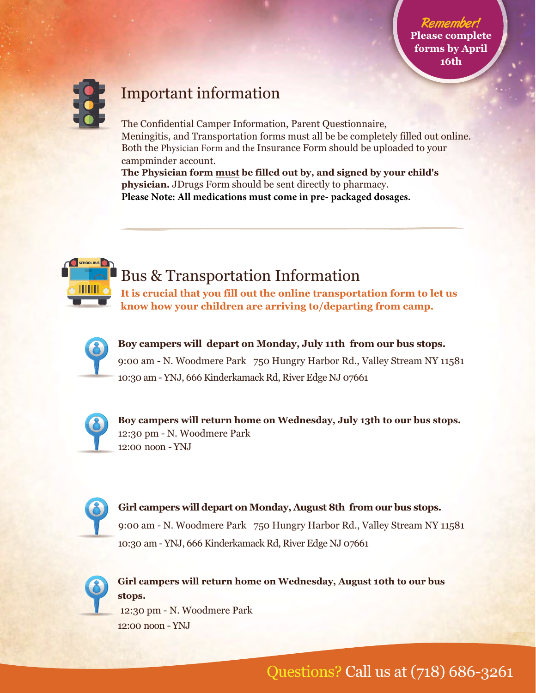

### Important information

The Confidential Camper Information, Parent Questionnaire, Meningitis, and Transportation forms must all be be completely filled out online. Both the Physician Form and the Insurance Form should be uploaded to your campminder account.

**The Physician form must be filled out by, and signed by your child's physician.** JDrugs Form should be sent directly to pharmacy. **Please Note: All medications must come in pre- packaged dosages.**



#### **Bus & Transportation Information**

It is crucial that you fill out the online transportation form to let us **know how your children are arriving to/departing from camp.** 



Boy campers will depart on Monday, July 11th from our bus stops. 9:00 am - N. Woodmere Park 750 Hungry Harbor Rd., Valley Stream NY 11581 10:30 am - YNJ, 666 Kinderkamack Rd, River Edge NJ 07661



Boy campers will return home on Wednesday, July 13th to our bus stops. 12:30 pm - N. Woodmere Park 12:00 noon - YNJ



**Girl campers will depart on Monday, August 8th from our bus stops.** 9:00 am - N. Woodmere Park 750 Hungry Harbor Rd., Valley Stream NY 11581 10:30 am - YNJ, 666 Kinderkamack Rd, River Edge NJ 07661



**Girl campers will return home on Wednesday, August 10th to our bus stops.**

12:30 pm - N. Woodmere Park 12:00 noon - YNJ

Questions? Call us at (718) 686-3261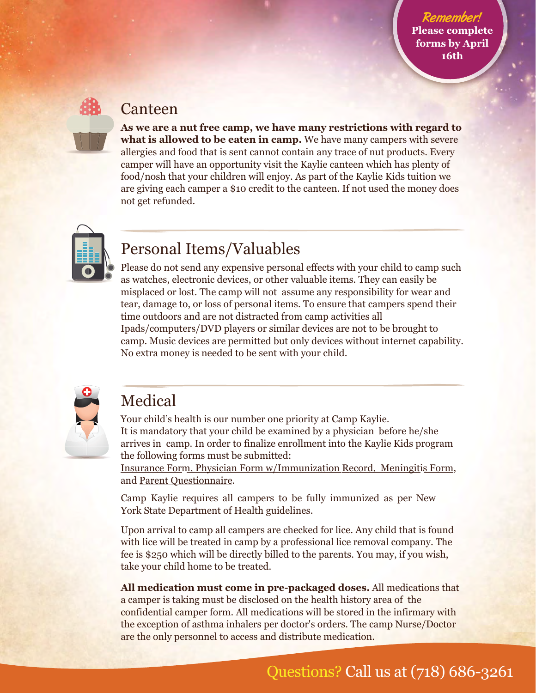#### **Canteen**

**As we are a nut free camp, we have many restrictions with regard to what is allowed to be eaten in camp.** We have many campers with severe allergies and food that is sent cannot contain any trace of nut products. Every camper will have an opportunity visit the Kaylie canteen which has plenty of food/nosh that your children will enjoy. As part of the Kaylie Kids tuition we are giving each camper a \$10 credit to the canteen. If not used the money does not get refunded.



#### Personal Items/Valuables

Please do not send any expensive personal effects with your child to camp such as watches, electronic devices, or other valuable items. They can easily be misplaced or lost. The camp will not assume any responsibility for wear and tear, damage to, or loss of personal items. To ensure that campers spend their time outdoors and are not distracted from camp activities all Ipads/computers/DVD players or similar devices are not to be brought to camp. Music devices are permitted but only devices without internet capability. No extra money is needed to be sent with your child.



#### Medical

Your child's health is our number one priority at Camp Kaylie. It is mandatory that your child be examined by a physician before he/she arrives in camp. In order to finalize enrollment into the Kaylie Kids program the following forms must be submitted:

Insurance Form, Physician Form w/Immunization Record, Meningitis Form, and Parent Questionnaire.

Camp Kaylie requires all campers to be fully immunized as per New York State Department of Health guidelines.

Upon arrival to camp all campers are checked for lice. Any child that is found with lice will be treated in camp by a professional lice removal company. The fee is \$250 which will be directly billed to the parents. You may, if you wish, take your child home to be treated.

**All medication must come in pre-packaged doses.** All medications that a camper is taking must be disclosed on the health history area of the confidential camper form. All medications will be stored in the infirmary with the exception of asthma inhalers per doctor's orders. The camp Nurse/Doctor are the only personnel to access and distribute medication.

## Questions? Call us at (718) 686-3261